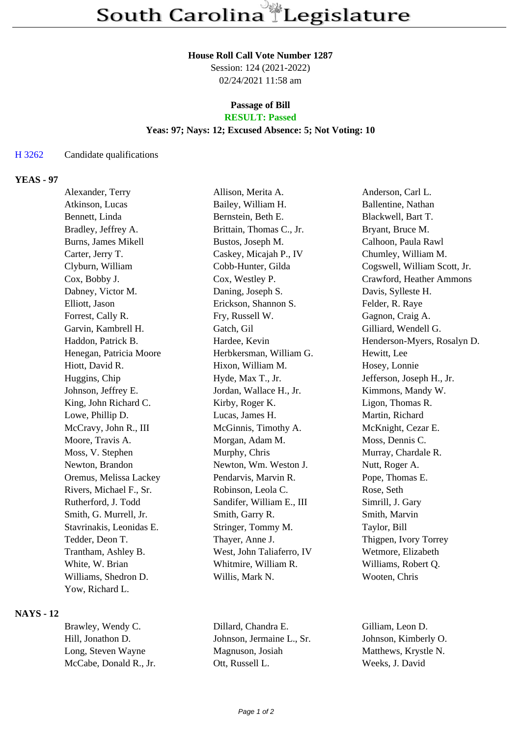#### **House Roll Call Vote Number 1287**

Session: 124 (2021-2022) 02/24/2021 11:58 am

# **Passage of Bill**

## **RESULT: Passed**

## **Yeas: 97; Nays: 12; Excused Absence: 5; Not Voting: 10**

#### H 3262 Candidate qualifications

### **YEAS - 97**

| Alexander, Terry         | Allison, Merita A.        | Anderson, Carl L.            |
|--------------------------|---------------------------|------------------------------|
| Atkinson, Lucas          | Bailey, William H.        | Ballentine, Nathan           |
| Bennett, Linda           | Bernstein, Beth E.        | Blackwell, Bart T.           |
| Bradley, Jeffrey A.      | Brittain, Thomas C., Jr.  | Bryant, Bruce M.             |
| Burns, James Mikell      | Bustos, Joseph M.         | Calhoon, Paula Rawl          |
| Carter, Jerry T.         | Caskey, Micajah P., IV    | Chumley, William M.          |
| Clyburn, William         | Cobb-Hunter, Gilda        | Cogswell, William Scott, Jr. |
| Cox, Bobby J.            | Cox, Westley P.           | Crawford, Heather Ammons     |
| Dabney, Victor M.        | Daning, Joseph S.         | Davis, Sylleste H.           |
| Elliott, Jason           | Erickson, Shannon S.      | Felder, R. Raye              |
| Forrest, Cally R.        | Fry, Russell W.           | Gagnon, Craig A.             |
| Garvin, Kambrell H.      | Gatch, Gil                | Gilliard, Wendell G.         |
| Haddon, Patrick B.       | Hardee, Kevin             | Henderson-Myers, Rosalyn D.  |
| Henegan, Patricia Moore  | Herbkersman, William G.   | Hewitt, Lee                  |
| Hiott, David R.          | Hixon, William M.         | Hosey, Lonnie                |
| Huggins, Chip            | Hyde, Max T., Jr.         | Jefferson, Joseph H., Jr.    |
| Johnson, Jeffrey E.      | Jordan, Wallace H., Jr.   | Kimmons, Mandy W.            |
| King, John Richard C.    | Kirby, Roger K.           | Ligon, Thomas R.             |
| Lowe, Phillip D.         | Lucas, James H.           | Martin, Richard              |
| McCravy, John R., III    | McGinnis, Timothy A.      | McKnight, Cezar E.           |
| Moore, Travis A.         | Morgan, Adam M.           | Moss, Dennis C.              |
| Moss, V. Stephen         | Murphy, Chris             | Murray, Chardale R.          |
| Newton, Brandon          | Newton, Wm. Weston J.     | Nutt, Roger A.               |
| Oremus, Melissa Lackey   | Pendarvis, Marvin R.      | Pope, Thomas E.              |
| Rivers, Michael F., Sr.  | Robinson, Leola C.        | Rose, Seth                   |
| Rutherford, J. Todd      | Sandifer, William E., III | Simrill, J. Gary             |
| Smith, G. Murrell, Jr.   | Smith, Garry R.           | Smith, Marvin                |
| Stavrinakis, Leonidas E. | Stringer, Tommy M.        | Taylor, Bill                 |
| Tedder, Deon T.          | Thayer, Anne J.           | Thigpen, Ivory Torrey        |
| Trantham, Ashley B.      | West, John Taliaferro, IV | Wetmore, Elizabeth           |
| White, W. Brian          | Whitmire, William R.      | Williams, Robert Q.          |
| Williams, Shedron D.     | Willis, Mark N.           | Wooten, Chris                |
| Yow, Richard L.          |                           |                              |

## **NAYS - 12**

Brawley, Wendy C. Dillard, Chandra E. Gilliam, Leon D. Hill, Jonathon D. Johnson, Jermaine L., Sr. Johnson, Kimberly O. Long, Steven Wayne Magnuson, Josiah Matthews, Krystle N. McCabe, Donald R., Jr. Ott, Russell L. Weeks, J. David